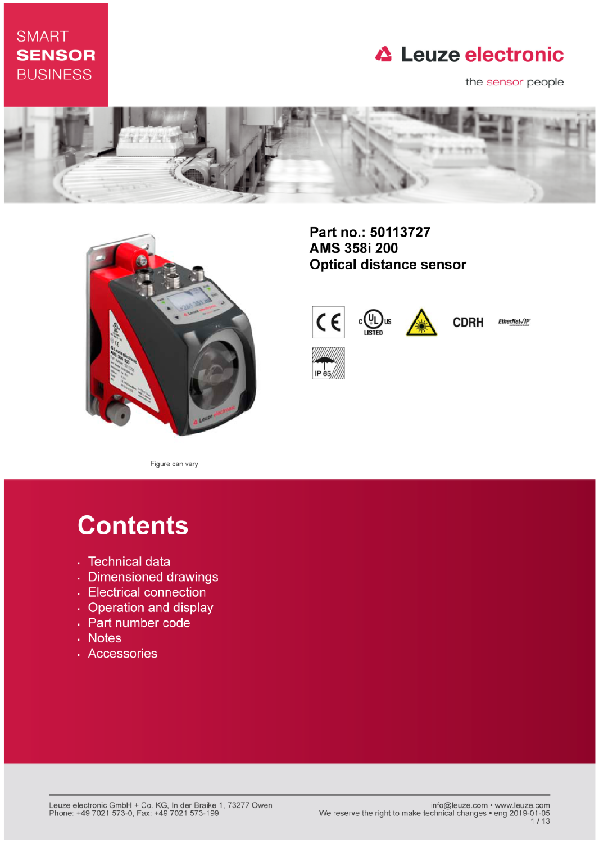## **SMART SENSOR BUSINESS**

## **△ Leuze electronic**

the sensor people





Part no.: 50113727 AMS 358i 200 **Optical distance sensor** 



**CDRH** EtherNet√IP®

Figure can vary

# **Contents**

- · Technical data
- · Dimensioned drawings
- Electrical connection
- Operation and display
- Part number code
- . Notes
- · Accessories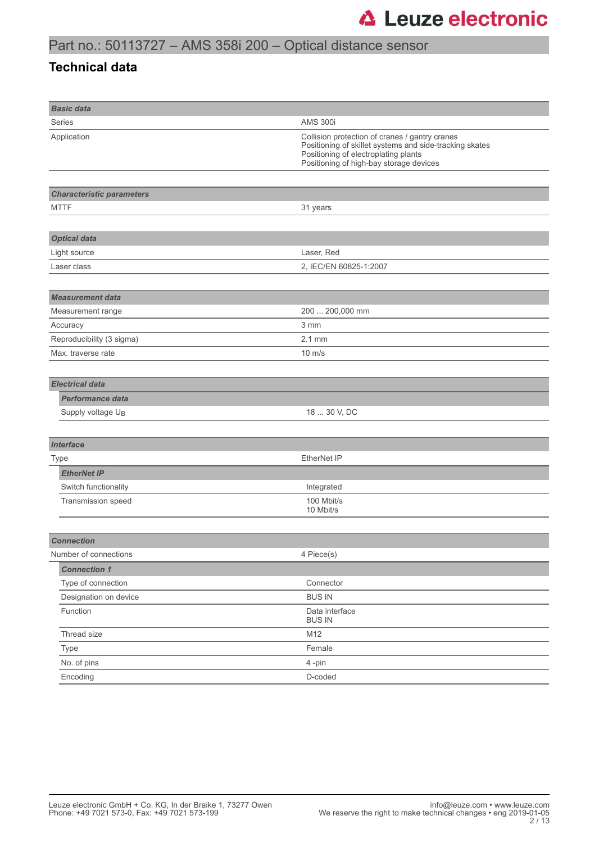## Part no.: 50113727 – AMS 358i 200 – Optical distance sensor

### **Technical data**

| <b>Basic data</b>                |                                                                                                                                                                                              |
|----------------------------------|----------------------------------------------------------------------------------------------------------------------------------------------------------------------------------------------|
| Series                           | <b>AMS 300i</b>                                                                                                                                                                              |
| Application                      | Collision protection of cranes / gantry cranes<br>Positioning of skillet systems and side-tracking skates<br>Positioning of electroplating plants<br>Positioning of high-bay storage devices |
|                                  |                                                                                                                                                                                              |
| <b>Characteristic parameters</b> |                                                                                                                                                                                              |
| <b>MTTF</b>                      | 31 years                                                                                                                                                                                     |
|                                  |                                                                                                                                                                                              |
| <b>Optical data</b>              |                                                                                                                                                                                              |
| Light source                     | Laser, Red                                                                                                                                                                                   |
| Laser class                      | 2, IEC/EN 60825-1:2007                                                                                                                                                                       |
|                                  |                                                                                                                                                                                              |
| <b>Measurement data</b>          |                                                                                                                                                                                              |
| Measurement range                | 200  200,000 mm                                                                                                                                                                              |
| Accuracy                         | 3 mm                                                                                                                                                                                         |
| Reproducibility (3 sigma)        | $2.1$ mm                                                                                                                                                                                     |
| Max. traverse rate               | $10 \text{ m/s}$                                                                                                                                                                             |
|                                  |                                                                                                                                                                                              |
| <b>Electrical data</b>           |                                                                                                                                                                                              |
| <b>Performance data</b>          |                                                                                                                                                                                              |
| Supply voltage UB                | 18  30 V, DC                                                                                                                                                                                 |
|                                  |                                                                                                                                                                                              |
| <b>Interface</b>                 |                                                                                                                                                                                              |
| Type                             | <b>EtherNet IP</b>                                                                                                                                                                           |
| <b>EtherNet IP</b>               |                                                                                                                                                                                              |
| Switch functionality             | Integrated                                                                                                                                                                                   |
| Transmission speed               | 100 Mbit/s                                                                                                                                                                                   |
|                                  | 10 Mbit/s                                                                                                                                                                                    |
|                                  |                                                                                                                                                                                              |
| <b>Connection</b>                |                                                                                                                                                                                              |
| Number of connections            | 4 Piece(s)                                                                                                                                                                                   |
| <b>Connection 1</b>              |                                                                                                                                                                                              |
| Type of connection               | Connector                                                                                                                                                                                    |
| Designation on device            | <b>BUS IN</b>                                                                                                                                                                                |
| Function                         | Data interface<br><b>BUS IN</b>                                                                                                                                                              |
| Thread size                      | M12                                                                                                                                                                                          |
| Type                             | Female                                                                                                                                                                                       |
| No. of pins                      | 4-pin                                                                                                                                                                                        |
| Encoding                         | D-coded                                                                                                                                                                                      |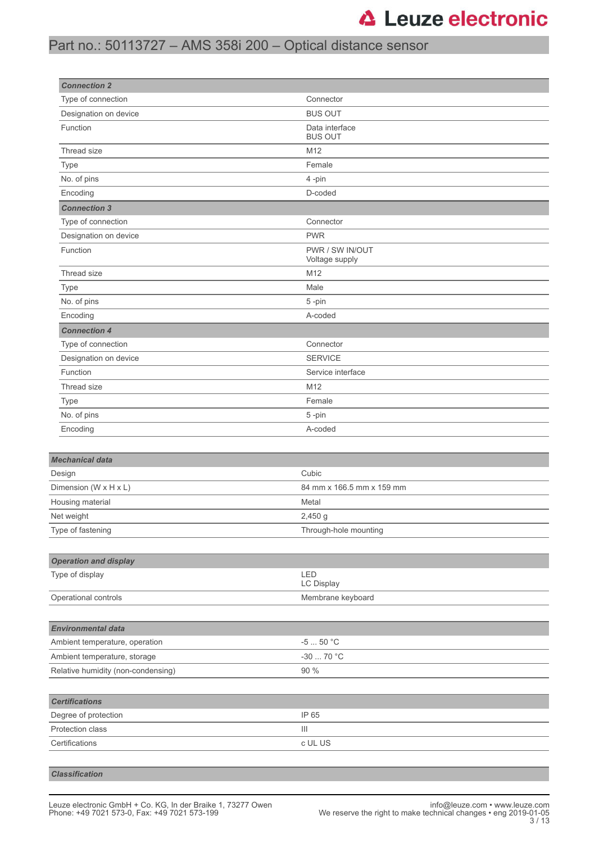## Part no.: 50113727 – AMS 358i 200 – Optical distance sensor

| <b>Connection 2</b>                |                                   |         |  |
|------------------------------------|-----------------------------------|---------|--|
| Type of connection                 | Connector                         |         |  |
| Designation on device              | <b>BUS OUT</b>                    |         |  |
| Function                           | Data interface<br><b>BUS OUT</b>  |         |  |
| Thread size                        | M12                               |         |  |
| Type                               | Female                            |         |  |
| No. of pins                        | 4-pin                             |         |  |
| Encoding                           | D-coded                           |         |  |
| <b>Connection 3</b>                |                                   |         |  |
| Type of connection                 | Connector                         |         |  |
| Designation on device              | <b>PWR</b>                        |         |  |
| Function                           | PWR / SW IN/OUT<br>Voltage supply |         |  |
| Thread size                        | M12                               |         |  |
| Type                               | Male                              |         |  |
| No. of pins                        | 5-pin                             |         |  |
| Encoding                           | A-coded                           |         |  |
| <b>Connection 4</b>                |                                   |         |  |
| Type of connection                 | Connector                         |         |  |
| Designation on device              | <b>SERVICE</b>                    |         |  |
| Function                           | Service interface                 |         |  |
| Thread size                        | M12                               |         |  |
| Type                               | Female                            |         |  |
| No. of pins                        | 5-pin                             |         |  |
| Encoding                           | A-coded                           |         |  |
|                                    |                                   |         |  |
| <b>Mechanical data</b>             |                                   |         |  |
| Design                             | Cubic                             |         |  |
| Dimension (W x H x L)              | 84 mm x 166.5 mm x 159 mm         |         |  |
| Housing material                   | Metal                             |         |  |
| Net weight                         | 2,450 g                           |         |  |
| Type of fastening                  | Through-hole mounting             |         |  |
|                                    |                                   |         |  |
| <b>Operation and display</b>       |                                   |         |  |
| Type of display                    | LED<br>LC Display                 |         |  |
| Operational controls               | Membrane keyboard                 |         |  |
|                                    |                                   |         |  |
| <b>Environmental data</b>          |                                   |         |  |
| Ambient temperature, operation     | $-550$ °C                         |         |  |
| Ambient temperature, storage       | -30 $\ldots$ 70 °C                |         |  |
| Relative humidity (non-condensing) | 90 %                              |         |  |
|                                    |                                   |         |  |
| <b>Certifications</b>              |                                   |         |  |
| Degree of protection               | IP 65                             |         |  |
| Protection class                   | Ш                                 |         |  |
| Certifications                     |                                   | c UL US |  |
|                                    |                                   |         |  |
|                                    |                                   |         |  |

#### *Classification*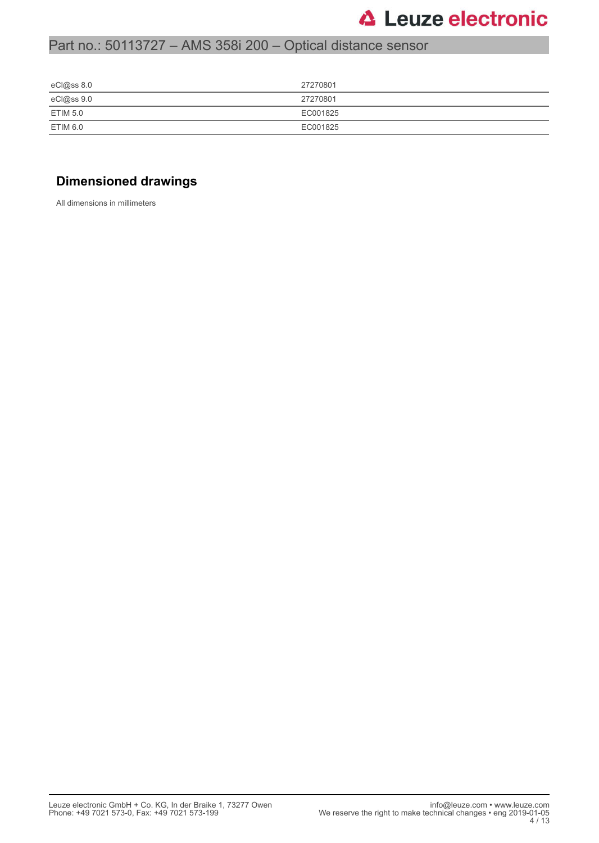## Part no.: 50113727 – AMS 358i 200 – Optical distance sensor

| eCl@ss 8.0 | 27270801 |
|------------|----------|
| eCl@ss 9.0 | 27270801 |
| ETIM 5.0   | EC001825 |
| ETIM 6.0   | EC001825 |
|            |          |

### **Dimensioned drawings**

All dimensions in millimeters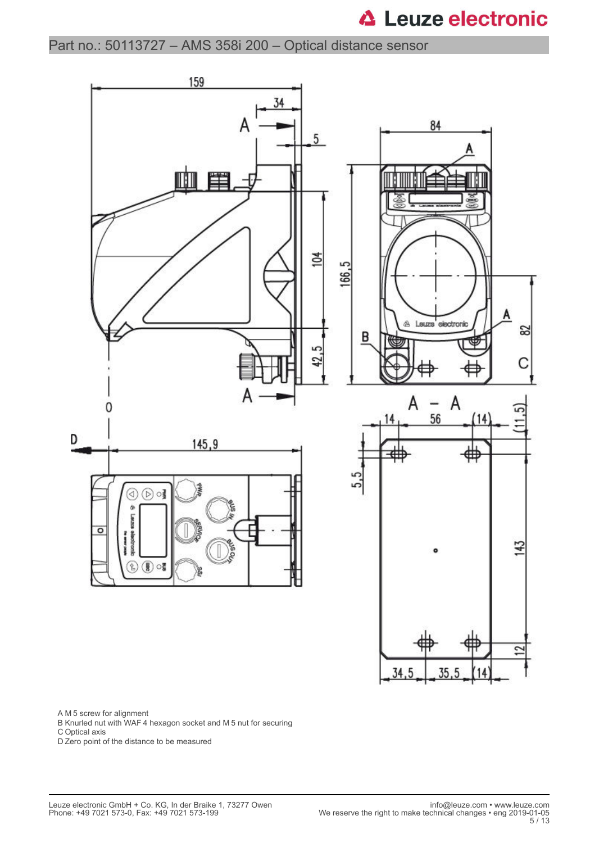Part no.: 50113727 – AMS 358i 200 – Optical distance sensor



A M 5 screw for alignment

B Knurled nut with WAF 4 hexagon socket and M 5 nut for securing

C Optical axis

D Zero point of the distance to be measured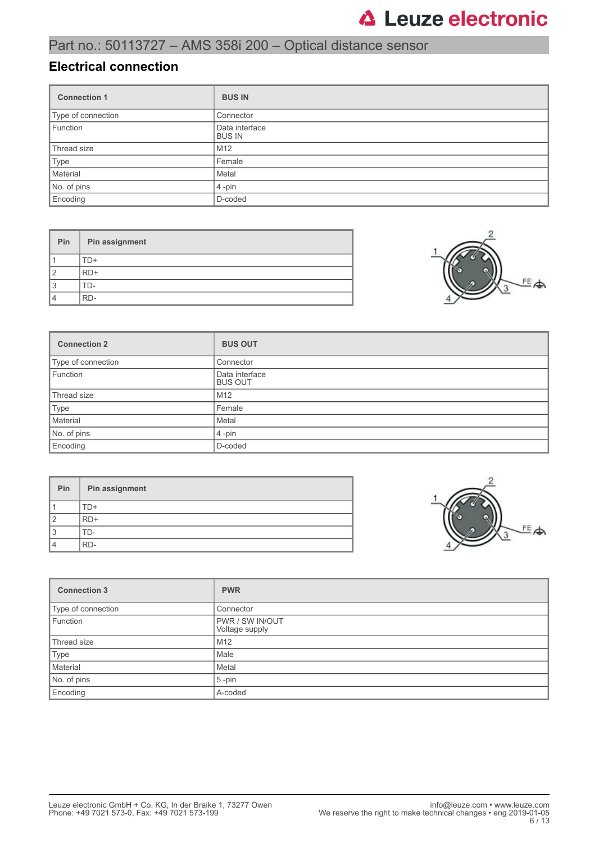## Part no.: 50113727 – AMS 358i 200 – Optical distance sensor

### **Electrical connection**

| <b>Connection 1</b> | <b>BUS IN</b>                   |
|---------------------|---------------------------------|
| Type of connection  | Connector                       |
| Function            | Data interface<br><b>BUS IN</b> |
| Thread size         | M12                             |
| Type                | Female                          |
| Material            | Metal                           |
| No. of pins         | $4$ -pin                        |
| Encoding            | D-coded                         |

| Pin | Pin assignment |
|-----|----------------|
|     | `D+            |
| 2   | RD+            |
| 3   | $1$ ) –        |
| 4   | RD-            |



| <b>Connection 2</b> | <b>BUS OUT</b>                   |
|---------------------|----------------------------------|
| Type of connection  | Connector                        |
| Function            | Data interface<br><b>BUS OUT</b> |
| Thread size         | M12                              |
| Type                | Female                           |
| Material            | Metal                            |
| No. of pins         | $4$ -pin                         |
| Encoding            | D-coded                          |

| Pin | Pin assignment |
|-----|----------------|
|     | TD+            |
| 2   | $RD+$          |
| 3   | TD-            |
| 4   | RD-            |



| <b>Connection 3</b> | <b>PWR</b>                        |
|---------------------|-----------------------------------|
| Type of connection  | Connector                         |
| Function            | PWR / SW IN/OUT<br>Voltage supply |
| Thread size         | M <sub>12</sub>                   |
| Type                | Male                              |
| Material            | Metal                             |
| No. of pins         | $5$ -pin                          |
| Encoding            | A-coded                           |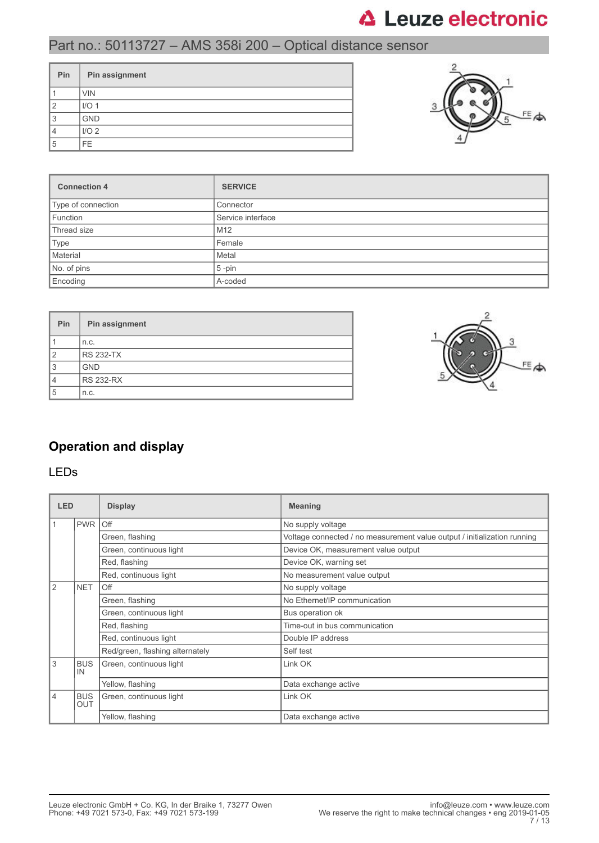## Part no.: 50113727 – AMS 358i 200 – Optical distance sensor

| Pin | Pin assignment   |
|-----|------------------|
|     | <b>VIN</b>       |
|     | I/O <sub>1</sub> |
| 3   | <b>GND</b>       |
|     | I/O <sub>2</sub> |
| 5   | FE.              |



| <b>Connection 4</b> | <b>SERVICE</b>    |
|---------------------|-------------------|
| Type of connection  | Connector         |
| Function            | Service interface |
| Thread size         | M <sub>12</sub>   |
| Type                | Female            |
| Material            | Metal             |
| No. of pins         | $5$ -pin          |
| Encoding            | A-coded           |

| Pin | Pin assignment   |
|-----|------------------|
|     | n.c.             |
| 12  | RS 232-TX        |
| 3   | <b>GND</b>       |
|     | <b>RS 232-RX</b> |
| 5   | n.c.             |



### **Operation and display**

#### LEDs

| <b>LED</b> |                   | <b>Display</b>                  | <b>Meaning</b>                                                           |
|------------|-------------------|---------------------------------|--------------------------------------------------------------------------|
|            | <b>PWR</b>        | Off                             | No supply voltage                                                        |
|            |                   | Green, flashing                 | Voltage connected / no measurement value output / initialization running |
|            |                   | Green, continuous light         | Device OK, measurement value output                                      |
|            |                   | Red, flashing                   | Device OK, warning set                                                   |
|            |                   | Red, continuous light           | No measurement value output                                              |
| <u> 2</u>  | <b>NET</b>        | Off                             | No supply voltage                                                        |
|            |                   | Green, flashing                 | No Ethernet/IP communication                                             |
|            |                   | Green, continuous light         | Bus operation ok                                                         |
|            |                   | Red, flashing                   | Time-out in bus communication                                            |
|            |                   | Red, continuous light           | Double IP address                                                        |
|            |                   | Red/green, flashing alternately | Self test                                                                |
| 3          | <b>BUS</b><br>IN  | Green, continuous light         | Link OK                                                                  |
|            |                   | Yellow, flashing                | Data exchange active                                                     |
| 4          | <b>BUS</b><br>OUT | Green, continuous light         | Link OK                                                                  |
|            |                   | Yellow, flashing                | Data exchange active                                                     |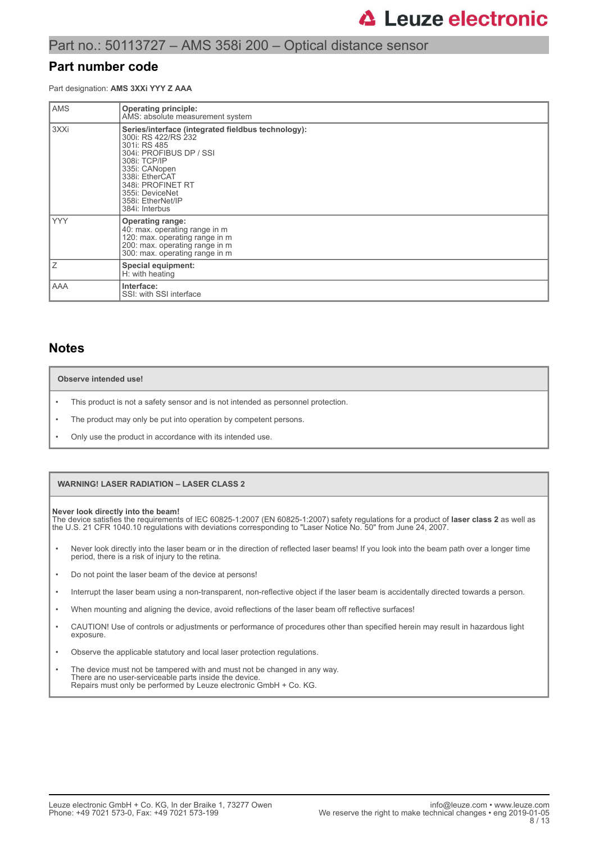#### Part no.: 50113727 – AMS 358i 200 – Optical distance sensor

#### **Part number code**

Part designation: **AMS 3XXi YYY Z AAA**

| <b>AMS</b> | <b>Operating principle:</b><br>AMS: absolute measurement system                                                                                                                                                                                        |
|------------|--------------------------------------------------------------------------------------------------------------------------------------------------------------------------------------------------------------------------------------------------------|
| 3XXi       | Series/interface (integrated fieldbus technology):<br>300i: RS 422/RS 232<br>301i: RS 485<br>304i: PROFIBUS DP / SSI<br>308i: TCP/IP<br>335i: CANopen<br>338i: EtherCAT<br>348i: PROFINET RT<br>355i: DeviceNet<br>358i: EtherNet/IP<br>384i: Interbus |
| <b>YYY</b> | <b>Operating range:</b><br>40: max. operating range in m<br>120: max. operating range in m<br>200: max. operating range in m<br>300: max. operating range in m                                                                                         |
| Ζ          | Special equipment:<br>H: with heating                                                                                                                                                                                                                  |
| AAA        | Interface:<br>SSI: with SSI interface                                                                                                                                                                                                                  |

#### **Notes**

#### **Observe intended use!**

- This product is not a safety sensor and is not intended as personnel protection.
- The product may only be put into operation by competent persons.
- Only use the product in accordance with its intended use.

#### **WARNING! LASER RADIATION – LASER CLASS 2**

#### **Never look directly into the beam!**

The device satisfies the requirements of IEC 60825-1:2007 (EN 60825-1:2007) safety regulations for a product of **laser class 2** as well as the U.S. 21 CFR 1040.10 regulations with deviations corresponding to "Laser Notice No. 50" from June 24, 2007.

- Never look directly into the laser beam or in the direction of reflected laser beams! If you look into the beam path over a longer time period, there is a risk of injury to the retina.
- Do not point the laser beam of the device at persons!
- Interrupt the laser beam using a non-transparent, non-reflective object if the laser beam is accidentally directed towards a person.
- When mounting and aligning the device, avoid reflections of the laser beam off reflective surfaces!
- CAUTION! Use of controls or adjustments or performance of procedures other than specified herein may result in hazardous light exposure.
- Observe the applicable statutory and local laser protection regulations.
- The device must not be tampered with and must not be changed in any way. There are no user-serviceable parts inside the device. Repairs must only be performed by Leuze electronic GmbH + Co. KG.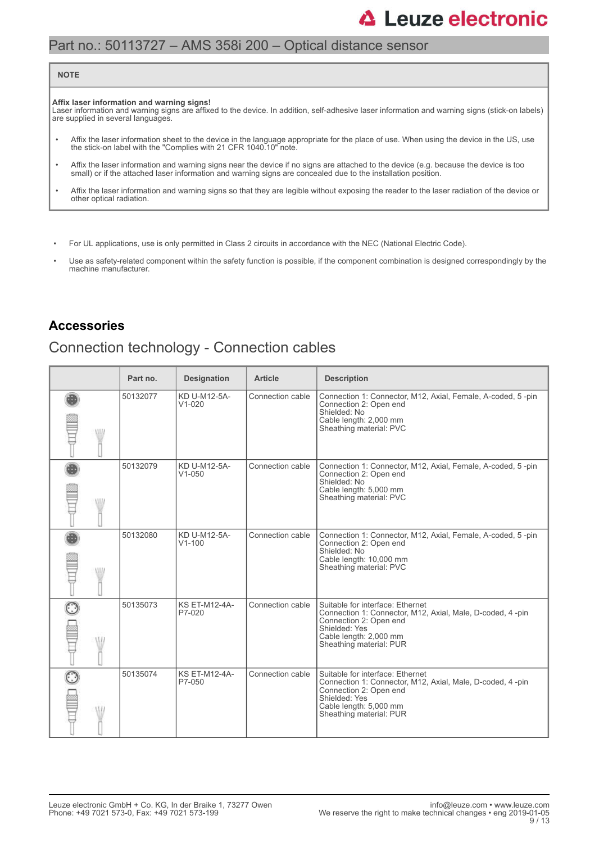### Part no.: 50113727 – AMS 358i 200 – Optical distance sensor

#### **NOTE**

**Affix laser information and warning signs!**<br>Laser information and warning signs are affixed to the device. In addition, self-adhesive laser information and warning signs (stick-on labels) are supplied in several languages.

- Affix the laser information sheet to the device in the language appropriate for the place of use. When using the device in the US, use the stick-on label with the "Complies with 21 CFR 1040.10" note.
- Affix the laser information and warning signs near the device if no signs are attached to the device (e.g. because the device is too small) or if the attached laser information and warning signs are concealed due to the installation position.
- Affix the laser information and warning signs so that they are legible without exposing the reader to the laser radiation of the device or other optical radiation.
- For UL applications, use is only permitted in Class 2 circuits in accordance with the NEC (National Electric Code).
- Use as safety-related component within the safety function is possible, if the component combination is designed correspondingly by the machine manufacturer.

### **Accessories**

## Connection technology - Connection cables

|   | Part no. | <b>Designation</b>             | <b>Article</b>   | <b>Description</b>                                                                                                                                                                            |
|---|----------|--------------------------------|------------------|-----------------------------------------------------------------------------------------------------------------------------------------------------------------------------------------------|
| W | 50132077 | KD U-M12-5A-<br>$V1 - 020$     | Connection cable | Connection 1: Connector, M12, Axial, Female, A-coded, 5-pin<br>Connection 2: Open end<br>Shielded: No<br>Cable length: 2,000 mm<br>Sheathing material: PVC                                    |
| W | 50132079 | KD U-M12-5A-<br>$V1 - 050$     | Connection cable | Connection 1: Connector, M12, Axial, Female, A-coded, 5-pin<br>Connection 2: Open end<br>Shielded: No<br>Cable length: 5,000 mm<br>Sheathing material: PVC                                    |
| W | 50132080 | KD U-M12-5A-<br>$V1 - 100$     | Connection cable | Connection 1: Connector, M12, Axial, Female, A-coded, 5-pin<br>Connection 2: Open end<br>Shielded: No<br>Cable length: 10,000 mm<br>Sheathing material: PVC                                   |
|   | 50135073 | <b>KS ET-M12-4A-</b><br>P7-020 | Connection cable | Suitable for interface: Ethernet<br>Connection 1: Connector, M12, Axial, Male, D-coded, 4-pin<br>Connection 2: Open end<br>Shielded: Yes<br>Cable length: 2,000 mm<br>Sheathing material: PUR |
|   | 50135074 | <b>KS ET-M12-4A-</b><br>P7-050 | Connection cable | Suitable for interface: Ethernet<br>Connection 1: Connector, M12, Axial, Male, D-coded, 4-pin<br>Connection 2: Open end<br>Shielded: Yes<br>Cable length: 5,000 mm<br>Sheathing material: PUR |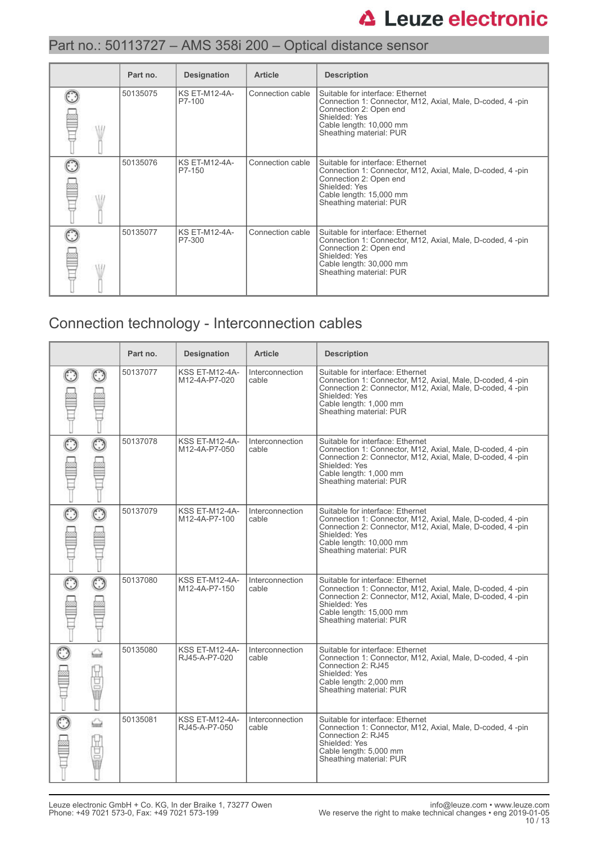## Part no.: 50113727 – AMS 358i 200 – Optical distance sensor

| Part no. | <b>Designation</b>      | <b>Article</b>   | <b>Description</b>                                                                                                                                                                             |
|----------|-------------------------|------------------|------------------------------------------------------------------------------------------------------------------------------------------------------------------------------------------------|
| 50135075 | KS ET-M12-4A-<br>P7-100 | Connection cable | Suitable for interface: Ethernet<br>Connection 1: Connector, M12, Axial, Male, D-coded, 4-pin<br>Connection 2: Open end<br>Shielded: Yes<br>Cable length: 10,000 mm<br>Sheathing material: PUR |
| 50135076 | KS ET-M12-4A-<br>P7-150 | Connection cable | Suitable for interface: Ethernet<br>Connection 1: Connector, M12, Axial, Male, D-coded, 4-pin<br>Connection 2: Open end<br>Shielded: Yes<br>Cable length: 15,000 mm<br>Sheathing material: PUR |
| 50135077 | KS ET-M12-4A-<br>P7-300 | Connection cable | Suitable for interface: Ethernet<br>Connection 1: Connector, M12, Axial, Male, D-coded, 4-pin<br>Connection 2: Open end<br>Shielded: Yes<br>Cable length: 30,000 mm<br>Sheathing material: PUR |

## Connection technology - Interconnection cables

|                    |             | Part no. | <b>Designation</b>                     | <b>Article</b>           | <b>Description</b>                                                                                                                                                                                                                |
|--------------------|-------------|----------|----------------------------------------|--------------------------|-----------------------------------------------------------------------------------------------------------------------------------------------------------------------------------------------------------------------------------|
|                    | ◌           | 50137077 | <b>KSS ET-M12-4A-</b><br>M12-4A-P7-020 | Interconnection<br>cable | Suitable for interface: Ethernet<br>Connection 1: Connector, M12, Axial, Male, D-coded, 4 -pin<br>Connection 2: Connector, M12, Axial, Male, D-coded, 4-pin<br>Shielded: Yes<br>Cable length: 1,000 mm<br>Sheathing material: PUR |
| $\odot$<br>Į       | $_{\odot}$  | 50137078 | <b>KSS ET-M12-4A-</b><br>M12-4A-P7-050 | Interconnection<br>cable | Suitable for interface: Ethernet<br>Connection 1: Connector, M12, Axial, Male, D-coded, 4-pin<br>Connection 2: Connector, M12, Axial, Male, D-coded, 4-pin<br>Shielded: Yes<br>Cable length: 1,000 mm<br>Sheathing material: PUR  |
| 0                  | $\odot$     | 50137079 | <b>KSS ET-M12-4A-</b><br>M12-4A-P7-100 | Interconnection<br>cable | Suitable for interface: Ethernet<br>Connection 1: Connector, M12, Axial, Male, D-coded, 4-pin<br>Connection 2: Connector, M12, Axial, Male, D-coded, 4-pin<br>Shielded: Yes<br>Cable length: 10,000 mm<br>Sheathing material: PUR |
| $\frac{1}{2}$      | $\odot$     | 50137080 | <b>KSS ET-M12-4A-</b><br>M12-4A-P7-150 | Interconnection<br>cable | Suitable for interface: Ethernet<br>Connection 1: Connector, M12, Axial, Male, D-coded, 4-pin<br>Connection 2: Connector, M12, Axial, Male, D-coded, 4-pin<br>Shielded: Yes<br>Cable length: 15,000 mm<br>Sheathing material: PUR |
| ි<br>$\frac{1}{2}$ | ⇔<br>t      | 50135080 | <b>KSS ET-M12-4A-</b><br>RJ45-A-P7-020 | Interconnection<br>cable | Suitable for interface: Ethernet<br>Connection 1: Connector, M12, Axial, Male, D-coded, 4 -pin<br>Connection 2: RJ45<br>Shielded: Yes<br>Cable length: 2,000 mm<br>Sheathing material: PUR                                        |
|                    | ⇔<br>팀<br>Ū | 50135081 | <b>KSS ET-M12-4A-</b><br>RJ45-A-P7-050 | Interconnection<br>cable | Suitable for interface: Ethernet<br>Connection 1: Connector, M12, Axial, Male, D-coded, 4-pin<br>Connection 2: RJ45<br>Shielded: Yes<br>Cable length: 5,000 mm<br>Sheathing material: PUR                                         |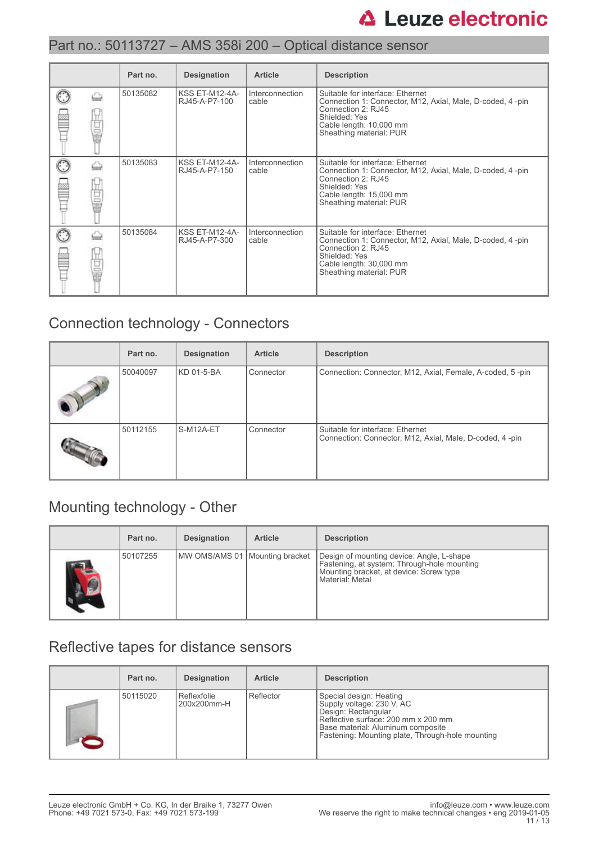## Part no.: 50113727 – AMS 358i 200 – Optical distance sensor

|              | Part no. | <b>Designation</b>                     | <b>Article</b>           | <b>Description</b>                                                                                                                                                                         |
|--------------|----------|----------------------------------------|--------------------------|--------------------------------------------------------------------------------------------------------------------------------------------------------------------------------------------|
| i            | 50135082 | <b>KSS ET-M12-4A-</b><br>RJ45-A-P7-100 | Interconnection<br>cable | Suitable for interface: Ethernet<br>Connection 1: Connector, M12, Axial, Male, D-coded, 4-pin<br>Connection 2: RJ45<br>Shielded: Yes<br>Cable length: 10,000 mm<br>Sheathing material: PUR |
| <b>自己</b>    | 50135083 | <b>KSS ET-M12-4A-</b><br>RJ45-A-P7-150 | Interconnection<br>cable | Suitable for interface: Ethernet<br>Connection 1: Connector, M12, Axial, Male, D-coded, 4-pin<br>Connection 2: RJ45<br>Shielded: Yes<br>Cable length: 15,000 mm<br>Sheathing material: PUR |
| <b>Allia</b> | 50135084 | <b>KSS ET-M12-4A-</b><br>RJ45-A-P7-300 | Interconnection<br>cable | Suitable for interface: Ethernet<br>Connection 1: Connector, M12, Axial, Male, D-coded, 4-pin<br>Connection 2: RJ45<br>Shielded: Yes<br>Cable length: 30,000 mm<br>Sheathing material: PUR |

## Connection technology - Connectors

| Part no. | <b>Designation</b> | <b>Article</b> | <b>Description</b>                                                                          |
|----------|--------------------|----------------|---------------------------------------------------------------------------------------------|
| 50040097 | KD 01-5-BA         | Connector      | Connection: Connector, M12, Axial, Female, A-coded, 5-pin                                   |
| 50112155 | S-M12A-ET          | Connector      | Suitable for interface: Ethernet<br>Connection: Connector, M12, Axial, Male, D-coded, 4-pin |

## Mounting technology - Other

| Part no. | <b>Designation</b>               | <b>Article</b> | <b>Description</b>                                                                                                                                       |
|----------|----------------------------------|----------------|----------------------------------------------------------------------------------------------------------------------------------------------------------|
| 50107255 | MW OMS/AMS 01   Mounting bracket |                | Design of mounting device: Angle, L-shape<br>  Fastening, at system: Through-hole mounting<br>Mounting bracket, at device: Screw type<br>Material: Metal |

## Reflective tapes for distance sensors

| Part no. | <b>Designation</b>         | <b>Article</b> | <b>Description</b>                                                                                                                                                                                          |
|----------|----------------------------|----------------|-------------------------------------------------------------------------------------------------------------------------------------------------------------------------------------------------------------|
| 50115020 | Reflexfolie<br>200x200mm-H | Reflector      | Special design: Heating<br>Supply voltage: 230 V, AC<br>Design: Rectangular<br>Reflective surface: 200 mm x 200 mm<br>Base material: Aluminum composite<br>Fastening: Mounting plate, Through-hole mounting |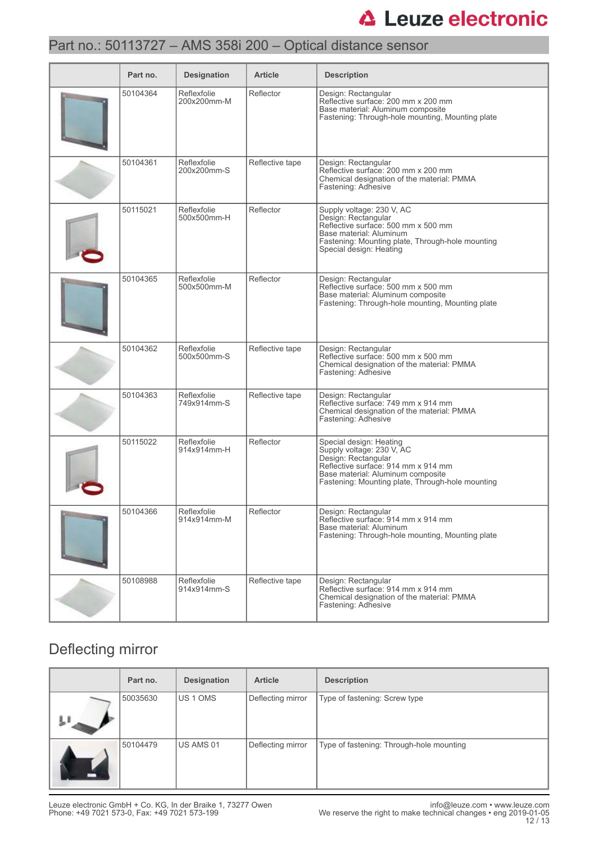## Part no.: 50113727 – AMS 358i 200 – Optical distance sensor

| Part no. | <b>Designation</b>         | <b>Article</b>  | <b>Description</b>                                                                                                                                                                                          |
|----------|----------------------------|-----------------|-------------------------------------------------------------------------------------------------------------------------------------------------------------------------------------------------------------|
| 50104364 | Reflexfolie<br>200x200mm-M | Reflector       | Design: Rectangular<br>Reflective surface: 200 mm x 200 mm<br>Base material: Aluminum composite<br>Fastening: Through-hole mounting, Mounting plate                                                         |
| 50104361 | Reflexfolie<br>200x200mm-S | Reflective tape | Design: Rectangular<br>Reflective surface: 200 mm x 200 mm<br>Chemical designation of the material: PMMA<br>Fastening: Adhesive                                                                             |
| 50115021 | Reflexfolie<br>500x500mm-H | Reflector       | Supply voltage: 230 V, AC<br>Design: Rectangular<br>Reflective surface: 500 mm x 500 mm<br>Base material: Aluminum<br>Fastening: Mounting plate, Through-hole mounting<br>Special design: Heating           |
| 50104365 | Reflexfolie<br>500x500mm-M | Reflector       | Design: Rectangular<br>Reflective surface: 500 mm x 500 mm<br>Base material: Aluminum composite<br>Fastening: Through-hole mounting, Mounting plate                                                         |
| 50104362 | Reflexfolie<br>500x500mm-S | Reflective tape | Design: Rectangular<br>Reflective surface: 500 mm x 500 mm<br>Chemical designation of the material: PMMA<br>Fastening: Adhesive                                                                             |
| 50104363 | Reflexfolie<br>749x914mm-S | Reflective tape | Design: Rectangular<br>Reflective surface: 749 mm x 914 mm<br>Chemical designation of the material: PMMA<br>Fastening: Adhesive                                                                             |
| 50115022 | Reflexfolie<br>914x914mm-H | Reflector       | Special design: Heating<br>Supply voltage: 230 V, AC<br>Design: Rectangular<br>Reflective surface: 914 mm x 914 mm<br>Base material: Aluminum composite<br>Fastening: Mounting plate, Through-hole mounting |
| 50104366 | Reflexfolie<br>914x914mm-M | Reflector       | Design: Rectangular<br>Reflective surface: 914 mm x 914 mm<br>Base material: Aluminum<br>Fastening: Through-hole mounting, Mounting plate                                                                   |
| 50108988 | Reflexfolie<br>914x914mm-S | Reflective tape | Design: Rectangular<br>Reflective surface: 914 mm x 914 mm<br>Chemical designation of the material: PMMA<br>Fastening: Adhesive                                                                             |

## Deflecting mirror

| Part no. | <b>Designation</b> | <b>Article</b>    | <b>Description</b>                       |
|----------|--------------------|-------------------|------------------------------------------|
| 50035630 | US 1 OMS           | Deflecting mirror | Type of fastening: Screw type            |
| 50104479 | US AMS 01          | Deflecting mirror | Type of fastening: Through-hole mounting |